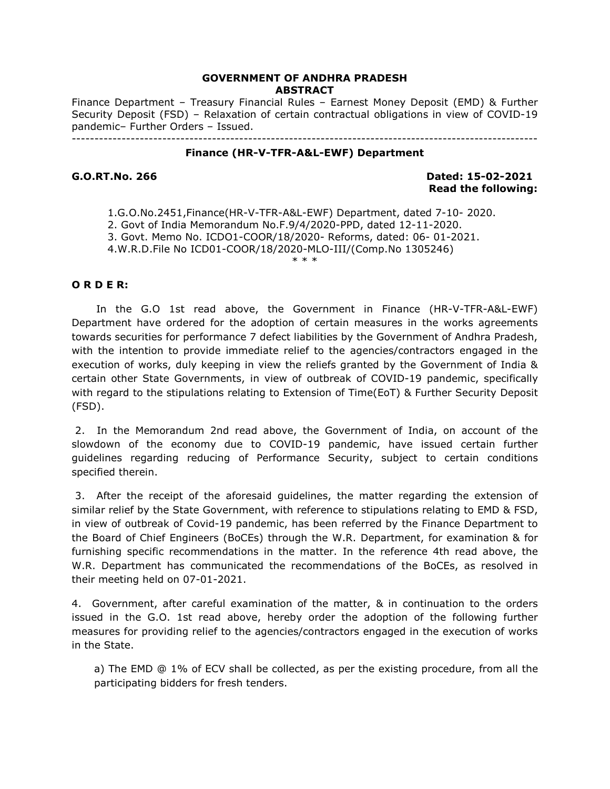# **GOVERNMENT OF ANDHRA PRADESH ABSTRACT**

Finance Department – Treasury Financial Rules – Earnest Money Deposit (EMD) & Further Security Deposit (FSD) – Relaxation of certain contractual obligations in view of COVID-19 pandemic– Further Orders – Issued. -------------------------------------------------------------------------------------------------------

#### **Finance (HR-V-TFR-A&L-EWF) Department**

**G.O.RT.No. 266 Dated: 15-02-2021 Read the following:** 

1.G.O.No.2451,Finance(HR-V-TFR-A&L-EWF) Department, dated 7-10- 2020. 2. Govt of India Memorandum No.F.9/4/2020-PPD, dated 12-11-2020. 3. Govt. Memo No. ICDO1-COOR/18/2020- Reforms, dated: 06- 01-2021. 4.W.R.D.File No ICD01-COOR/18/2020-MLO-III/(Comp.No 1305246) \* \* \*

### **O R D E R:**

 In the G.O 1st read above, the Government in Finance (HR-V-TFR-A&L-EWF) Department have ordered for the adoption of certain measures in the works agreements towards securities for performance 7 defect liabilities by the Government of Andhra Pradesh, with the intention to provide immediate relief to the agencies/contractors engaged in the execution of works, duly keeping in view the reliefs granted by the Government of India & certain other State Governments, in view of outbreak of COVID-19 pandemic, specifically with regard to the stipulations relating to Extension of Time(EoT) & Further Security Deposit (FSD).

 2. In the Memorandum 2nd read above, the Government of India, on account of the slowdown of the economy due to COVID-19 pandemic, have issued certain further guidelines regarding reducing of Performance Security, subject to certain conditions specified therein.

 3. After the receipt of the aforesaid guidelines, the matter regarding the extension of similar relief by the State Government, with reference to stipulations relating to EMD & FSD, in view of outbreak of Covid-19 pandemic, has been referred by the Finance Department to the Board of Chief Engineers (BoCEs) through the W.R. Department, for examination & for furnishing specific recommendations in the matter. In the reference 4th read above, the W.R. Department has communicated the recommendations of the BoCEs, as resolved in their meeting held on 07-01-2021.

4. Government, after careful examination of the matter, & in continuation to the orders issued in the G.O. 1st read above, hereby order the adoption of the following further measures for providing relief to the agencies/contractors engaged in the execution of works in the State.

a) The EMD @ 1% of ECV shall be collected, as per the existing procedure, from all the participating bidders for fresh tenders.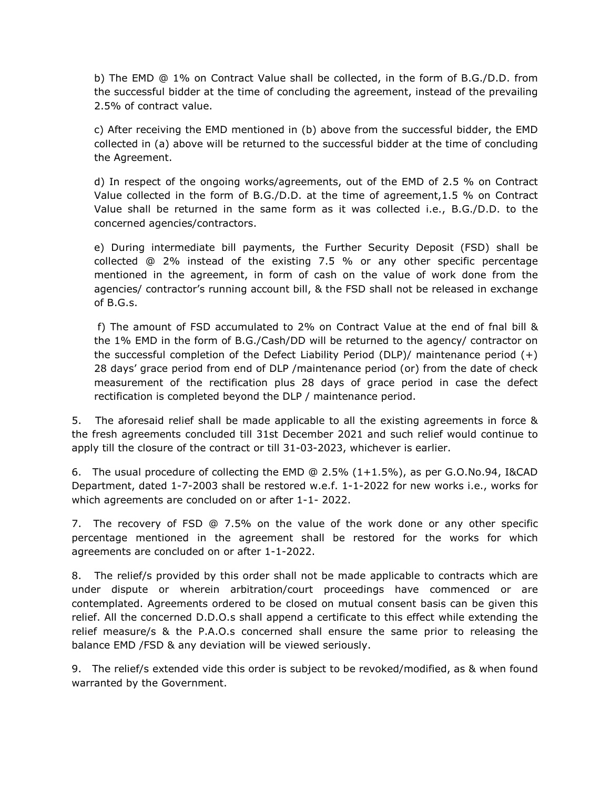b) The EMD @ 1% on Contract Value shall be collected, in the form of B.G./D.D. from the successful bidder at the time of concluding the agreement, instead of the prevailing 2.5% of contract value.

c) After receiving the EMD mentioned in (b) above from the successful bidder, the EMD collected in (a) above will be returned to the successful bidder at the time of concluding the Agreement.

d) In respect of the ongoing works/agreements, out of the EMD of 2.5 % on Contract Value collected in the form of B.G./D.D. at the time of agreement,1.5 % on Contract Value shall be returned in the same form as it was collected i.e., B.G./D.D. to the concerned agencies/contractors.

e) During intermediate bill payments, the Further Security Deposit (FSD) shall be collected @ 2% instead of the existing 7.5 % or any other specific percentage mentioned in the agreement, in form of cash on the value of work done from the agencies/ contractor's running account bill, & the FSD shall not be released in exchange of B.G.s.

 f) The amount of FSD accumulated to 2% on Contract Value at the end of fnal bill & the 1% EMD in the form of B.G./Cash/DD will be returned to the agency/ contractor on the successful completion of the Defect Liability Period (DLP)/ maintenance period  $(+)$ 28 days' grace period from end of DLP /maintenance period (or) from the date of check measurement of the rectification plus 28 days of grace period in case the defect rectification is completed beyond the DLP / maintenance period.

5. The aforesaid relief shall be made applicable to all the existing agreements in force & the fresh agreements concluded till 31st December 2021 and such relief would continue to apply till the closure of the contract or till 31-03-2023, whichever is earlier.

6. The usual procedure of collecting the EMD @ 2.5% (1+1.5%), as per G.O.No.94, I&CAD Department, dated 1-7-2003 shall be restored w.e.f. 1-1-2022 for new works i.e., works for which agreements are concluded on or after 1-1- 2022.

7. The recovery of FSD @ 7.5% on the value of the work done or any other specific percentage mentioned in the agreement shall be restored for the works for which agreements are concluded on or after 1-1-2022.

8. The relief/s provided by this order shall not be made applicable to contracts which are under dispute or wherein arbitration/court proceedings have commenced or are contemplated. Agreements ordered to be closed on mutual consent basis can be given this relief. All the concerned D.D.O.s shall append a certificate to this effect while extending the relief measure/s & the P.A.O.s concerned shall ensure the same prior to releasing the balance EMD /FSD & any deviation will be viewed seriously.

9. The relief/s extended vide this order is subject to be revoked/modified, as & when found warranted by the Government.